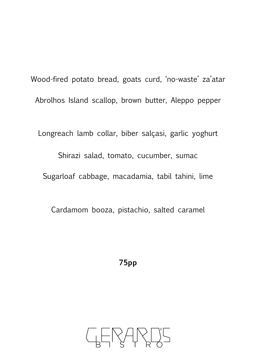Wood-fired potato bread, goats curd, 'no-waste' za'atar Abrolhos Island scallop, brown butter, Aleppo pepper

Longreach lamb collar, biber salçasi, garlic yoghurt Shirazi salad, tomato, cucumber, sumac Sugarloaf cabbage, macadamia, tabil tahini, lime

Cardamom booza, pistachio, salted caramel

**75pp**

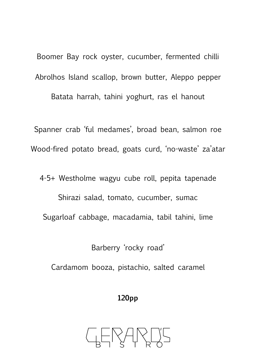Boomer Bay rock oyster, cucumber, fermented chilli Abrolhos Island scallop, brown butter, Aleppo pepper Batata harrah, tahini yoghurt, ras el hanout

Spanner crab 'ful medames', broad bean, salmon roe Wood-fired potato bread, goats curd, 'no-waste' za'atar

4-5+ Westholme wagyu cube roll, pepita tapenade Shirazi salad, tomato, cucumber, sumac Sugarloaf cabbage, macadamia, tabil tahini, lime

Barberry 'rocky road' Cardamom booza, pistachio, salted caramel

**120pp**